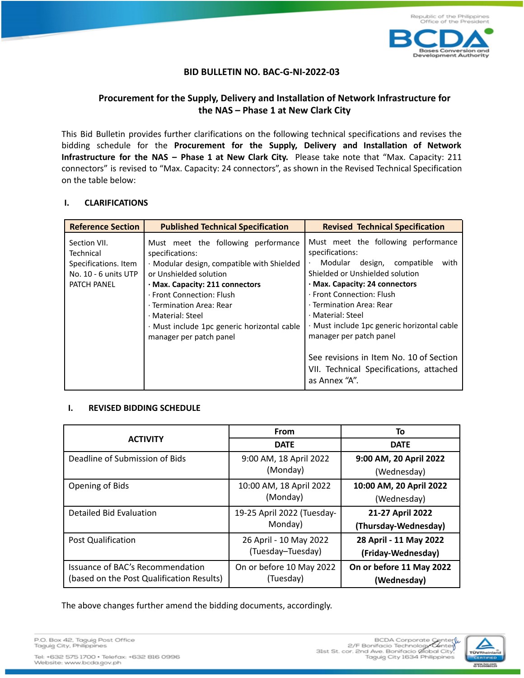

## **BID BULLETIN NO. BAC-G-NI-2022-03**

## **Procurement for the Supply, Delivery and Installation of Network Infrastructure for the NAS – Phase 1 at New Clark City**

This Bid Bulletin provides further clarifications on the following technical specifications and revises the bidding schedule for the **Procurement for the Supply, Delivery and Installation of Network Infrastructure for the NAS – Phase 1 at New Clark City.** Please take note that "Max. Capacity: 211 connectors" is revised to "Max. Capacity: 24 connectors", as shown in the Revised Technical Specification on the table below:

## **I. CLARIFICATIONS**

| <b>Reference Section</b>                                                                 | <b>Published Technical Specification</b>                                                                                                                                                                                                                                                                                  | <b>Revised Technical Specification</b>                                                                                                                                                                                                                                                                                                                                                                                                        |
|------------------------------------------------------------------------------------------|---------------------------------------------------------------------------------------------------------------------------------------------------------------------------------------------------------------------------------------------------------------------------------------------------------------------------|-----------------------------------------------------------------------------------------------------------------------------------------------------------------------------------------------------------------------------------------------------------------------------------------------------------------------------------------------------------------------------------------------------------------------------------------------|
| Section VII.<br>Technical<br>Specifications. Item<br>No. 10 - 6 units UTP<br>PATCH PANEL | Must meet the following performance<br>specifications:<br>· Modular design, compatible with Shielded<br>or Unshielded solution<br>· Max. Capacity: 211 connectors<br>· Front Connection: Flush<br>· Termination Area: Rear<br>· Material: Steel<br>· Must include 1pc generic horizontal cable<br>manager per patch panel | Must meet the following performance<br>specifications:<br>Modular design, compatible<br>with<br>$\bullet$<br>Shielded or Unshielded solution<br>· Max. Capacity: 24 connectors<br>· Front Connection: Flush<br>· Termination Area: Rear<br>· Material: Steel<br>· Must include 1pc generic horizontal cable<br>manager per patch panel<br>See revisions in Item No. 10 of Section<br>VII. Technical Specifications, attached<br>as Annex "A". |

## **I. REVISED BIDDING SCHEDULE**

|                                           | <b>From</b>                | To                       |
|-------------------------------------------|----------------------------|--------------------------|
| <b>ACTIVITY</b>                           | <b>DATE</b>                | <b>DATE</b>              |
| Deadline of Submission of Bids            | 9:00 AM, 18 April 2022     | 9:00 AM, 20 April 2022   |
|                                           | (Monday)                   | (Wednesday)              |
| Opening of Bids                           | 10:00 AM, 18 April 2022    | 10:00 AM, 20 April 2022  |
|                                           | (Monday)                   | (Wednesday)              |
| Detailed Bid Evaluation                   | 19-25 April 2022 (Tuesday- | 21-27 April 2022         |
|                                           | Monday)                    | (Thursday-Wednesday)     |
| <b>Post Qualification</b>                 | 26 April - 10 May 2022     | 28 April - 11 May 2022   |
|                                           | (Tuesday-Tuesday)          | (Friday-Wednesday)       |
| Issuance of BAC's Recommendation          | On or before 10 May 2022   | On or before 11 May 2022 |
| (based on the Post Qualification Results) | (Tuesday)                  | (Wednesday)              |

The above changes further amend the bidding documents, accordingly.

P.O. Box 42, Taguig Post Office<br>Taguig City, Philippines